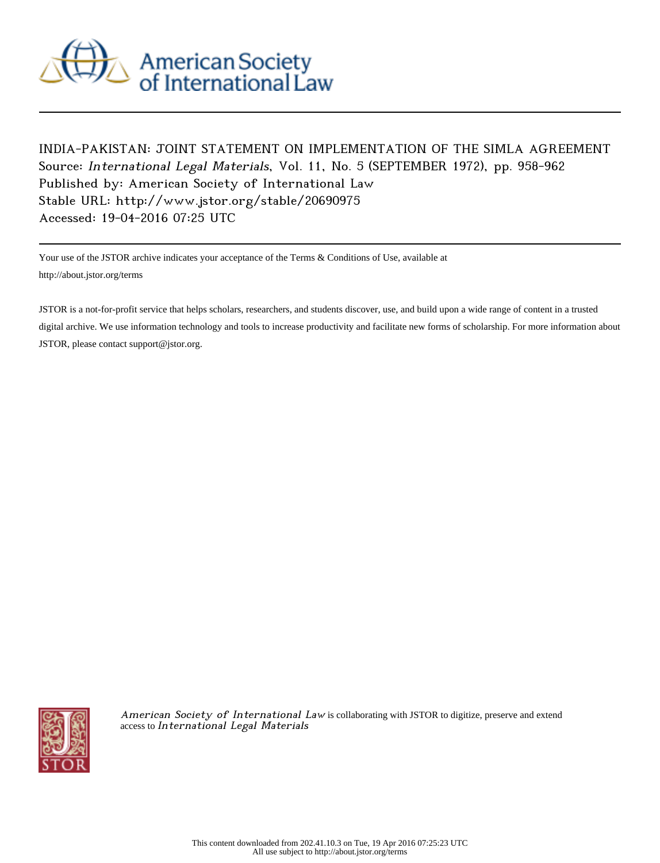

## INDIA-PAKISTAN: JOINT STATEMENT ON IMPLEMENTATION OF THE SIMLA AGREEMENT Source: International Legal Materials, Vol. 11, No. 5 (SEPTEMBER 1972), pp. 958-962 Published by: American Society of International Law Stable URL: http://www.jstor.org/stable/20690975 Accessed: 19-04-2016 07:25 UTC

Your use of the JSTOR archive indicates your acceptance of the Terms & Conditions of Use, available at http://about.jstor.org/terms

JSTOR is a not-for-profit service that helps scholars, researchers, and students discover, use, and build upon a wide range of content in a trusted digital archive. We use information technology and tools to increase productivity and facilitate new forms of scholarship. For more information about JSTOR, please contact support@jstor.org.



American Society of International Law is collaborating with JSTOR to digitize, preserve and extend access to International Legal Materials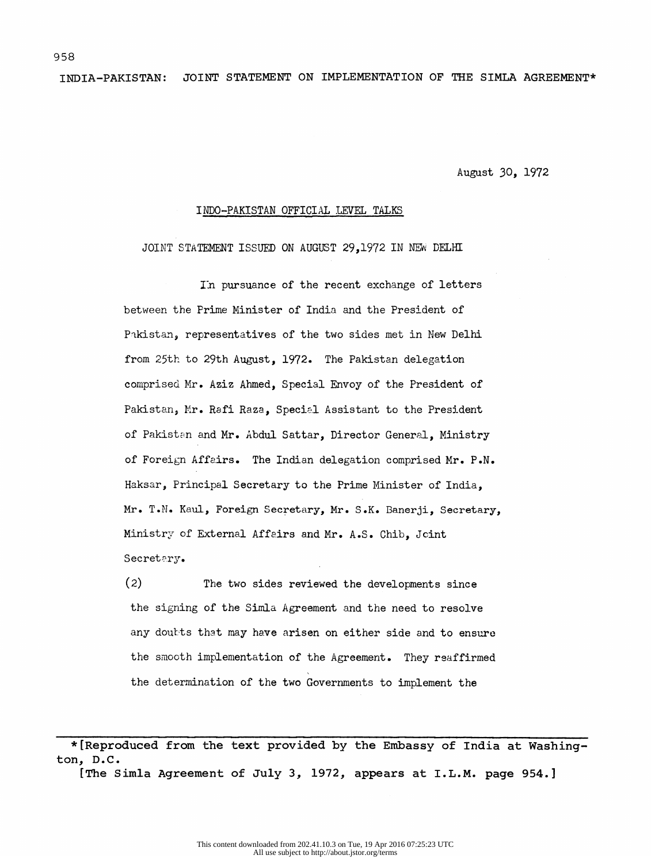INDIA-PAKISTAN: JOINT STATEMENT ON IMPLEMENTATION OF THE SIMLA AGREEMENT\*

August 30, 1972

## INDO-PAKISTAN OFFICIAL LEVEL TALKS

JOINT STATEMENT ISSUED ON AUGUST 29,1972 IN NEW DELHI

In pursuance of the recent exchange of letters between the Prime Minister of India and the President of Pakistan, representatives of the two sides met in New Delhi from 25th to 29th August, 1972. The Pakistan delegation comprised Mr. Aziz Ahmed, Special Envoy of the President of Pakistan, Mr. Rafi Raza, Special Assistant to the President of Pakistan and Mr. Abdul Sattar, Director General, Ministry of Foreign Affairs. The Indian delegation comprised Mr. P.N. Haksar, Principal Secretary to the Prime Minister of India, Mr. T.N. Kaul, Foreign Secretary, Mr. S.K. Banerji, Secretary, Ministry of External Affairs and Mr. A.S. Chib, Joint Secretary.

 (2) The two sides reviewed the developments since the signing of the Simla Agreement and the need to resolve any doubts that may have arisen on either side and to ensure the smooth implementation of the Agreement. They reaffirmed the determination of the two Governments to implement the

 \*[Reproduced from the text provided by the Embassy of India at Washing ton, D.C.

[The Simla Agreement of July 3, 1972, appears at I.L.M. page 954.]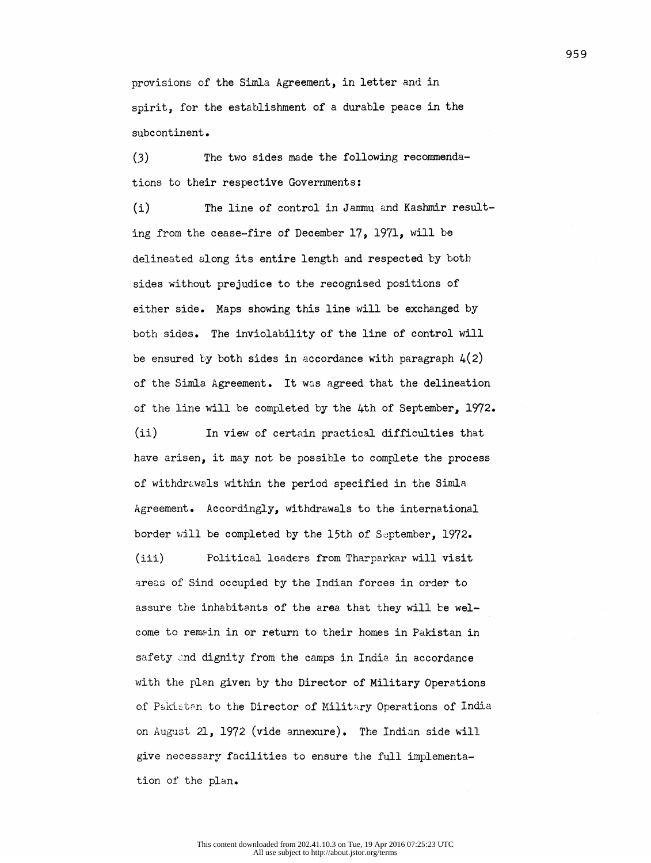provisions of the Simla Agreement, in letter and in spirit, for the establishment of a durable peace in the subcontinent.

 (3) The two sides made the following recommenda tions to their respective Governments:

 (i) The line of control in Jammu and Kashmir result ing from the cease-fire of December 17, 1971, will be delineated along its entire length and respected by both sides without prejudice to the recognised positions of either side. Maps showing this line will be exchanged by both sides. The inviolability of the line of control will be ensured by both sides in accordance with paragraph  $4(2)$  of the Simla. Agreement. It was agreed that the delineation of the line will be completed by the 4th of September, 1972.

 (ii) In view of certain practical difficulties that have arisen, it may not be possible to complete the process of withdrawals within the period specified in the Simla Agreement. Accordingly, withdrawals to the international border will be completed by the 15th of September, 1972.

 (iii) Political leaders from Tharparkar will visit areas of Sind occupied by the Indian forces in order to assure the inhabitants of the area that they will be wel come to remain in or return to their homes in Pakistan in safety and dignity from the camps in India in accordance with the plan given by the Director of Military Operations of Pakistan to the Director of Military Operations of India on August 21, 1972 (vide annexure). The Indian side will give necessary facilities to ensure the full implementa tion of the plan.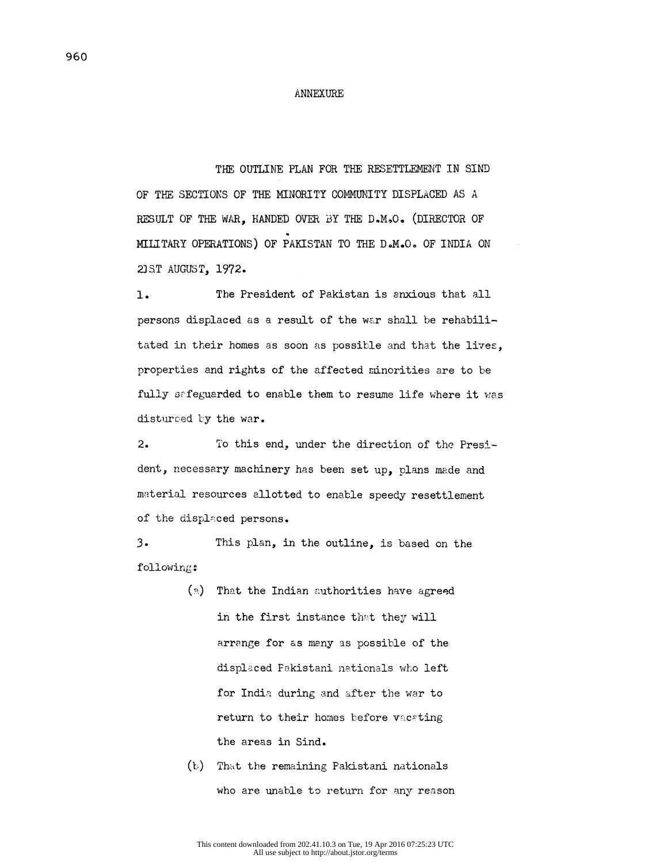## ANNEXURE

THE OUTLINE PLAN FOR THE RESETTLEMENT IN SIND

 OF THE SECTIONS OF THE MINORITY COMMUNITY DISPLACED AS A RESULT OF THE WAR, HANDED OVER BY THE D.M.O. (DIRECTOR OF MILITARY OPERATIONS) OF PAKISTAN TO THE D.M.O. OF INDIA ON 23ST AUGUST, 1972.

 $1.$ The President of Pakistan is anxious that all persons displaced as a result of the war shall be rehabili tated in their homes as soon as possible and that the lives, properties and rights of the affected minorities are to be fully safeguarded to enable them to resume life where it was disturbed by the war.

 $2\cdot$ To this end, under the direction of the Presi dent, necessary machinery has been set up, plans made and material resources allotted to enable speedy resettlement of the displaced persons.

 $3.$ This plan, in the outline, is based on the followings

- (a) That the Indian authorities have agreed in the first instance that they will arrange for as many as possible of the displaced Pakistani nationals who left for India during and after the war to return to their homes before vacating the areas in Sind.
- (b) That the remaining Pakistani nationals who are unable to return for any reason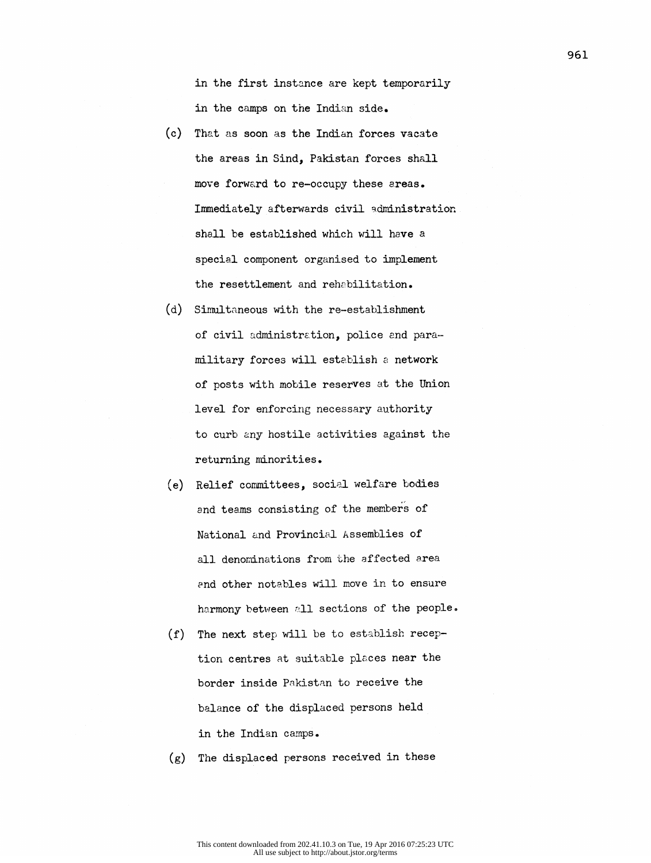in the first instance are kept temporarily in the camps on the Indian side,

- (c) That as soon as the Indian forces vacate the areas in Sind, Pakistan forces shall move forward to re-occupy these areas. Immediately afterwards civil administration shall be established which will have a special component organised to implement the resettlement and rehabilitation.
- (d) Simultaneous with the re-establishment of civil administration, police and para military forces will establish a network of posts with mobile reserves at the Union level for enforcing necessary authority to curb any hostile activities against the returning minorities.
- (e) Relief committees, social welfare bodies and teams consisting of the members of National and Provincial Assemblies of all denominations from the affected area and other notables will move in to ensure harmony between all sections of the people.
- (f) The next step will be to establish recep tion centres at suitable places near the border inside Pakistan to receive the balance of the displaced persons held in the Indian camps.
- (g) The displaced persons received in these